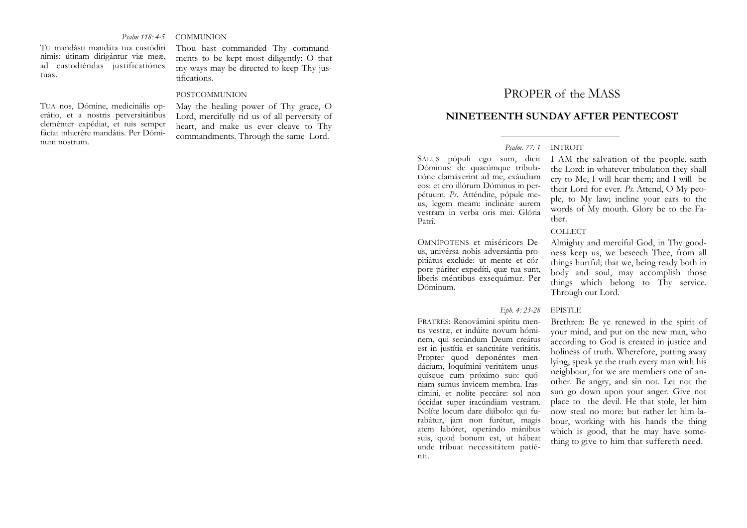#### *Psalm 118: 4-5* **COMMUNION**

TU mandásti mandáta tua custódiri nimis: útinam dirigántur viæ meæ, ad custodiéndas justificatiónes tuas.

TUA nos, Dómine, medicinális operátio, et a nostris perversitátibus cleménter expédiat, et tuis semper fáciat inhærére mandátis. Per Dóminum nostrum.

Thou hast commanded Thy commandments to be kept most diligently: O that my ways may be directed to keep Thy justifications.

#### POSTCOMMUNION

May the healing power of Thy grace, O Lord, mercifully rid us of all perversity of heart, and make us ever cleave to Thy commandments. Through the same Lord.

# PROPER of the MASS

# **NINETEENTH SUNDAY AFTER PENTECOST**

## *Psalm. 77: 1* INTROIT

SALUS pópuli ego sum, dicit Dóminus: de quacúmque tribulatióne clamáverint ad me, exáudiam eos: et ero illórum Dóminus in perpétuum. *Ps.* Atténdite, pópule meus, legem meam: inclinàte aurem vestram in verba oris mei. Glória Patri.

OMNÍPOTENS et miséricors Deus, univérsa nobis adversántia propitiátus exclúde: ut mente et córpore páriter expedíti, quæ tua sunt, líberis méntibus exsequámur. Per Dóminum.

### *Eph. 4: 23-28* EPISTLE

FRATRES: Renovámini spíritu mentis vestræ, et indúite novum hóminem, qui secúndum Deum creátus est in justítia et sanctitáte veritátis. Propter quod deponéntes mendácium, loquímini veritátem unusquísque cum próximo suo: quóniam sumus ínvicem membra. Irascímini, et nolíte peccáre: sol non óccidat super iracúndiam vestram. Nolíte locum dare diábolo: qui furabátur, jam non furétur, magis atem labóret, operándo mánibus suis, quod bonum est, ut hábeat unde tríbuat necessitátem patiénti.

I AM the salvation of the people, saith the Lord: in whatever tribulation they shall cry to Me, I will hear them; and I will be their Lord for ever. *Ps.* Attend, O My people, to My law; incline your ears to the words of My mouth. Glory be to the Father.

#### COLLECT

Almighty and merciful God, in Thy goodness keep us, we beseech Thee, from all things hurtful; that we, being ready both in body and soul, may accomplish those things which belong to Thy service. Through our Lord.

Brethren: Be ye renewed in the spirit of your mind, and put on the new man, who according to God is created in justice and holiness of truth. Wherefore, putting away lying, speak ye the truth every man with his neighbour, for we are members one of another. Be angry, and sin not. Let not the sun go down upon your anger. Give not place to the devil. He that stole, let him now steal no more: but rather let him labour, working with his hands the thing which is good, that he may have something to give to him that suffereth need.